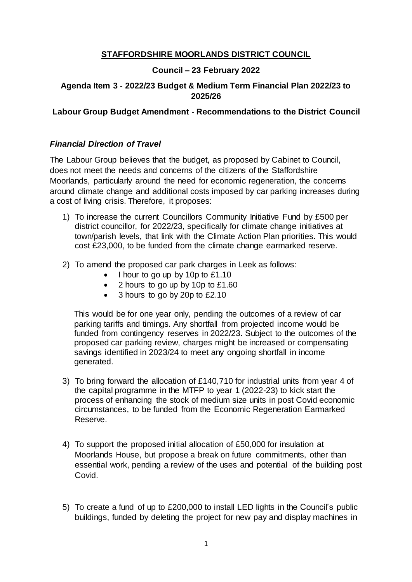## **STAFFORDSHIRE MOORLANDS DISTRICT COUNCIL**

## **Council – 23 February 2022**

## **Agenda Item 3 - 2022/23 Budget & Medium Term Financial Plan 2022/23 to 2025/26**

## **Labour Group Budget Amendment - Recommendations to the District Council**

#### *Financial Direction of Travel*

The Labour Group believes that the budget, as proposed by Cabinet to Council, does not meet the needs and concerns of the citizens of the Staffordshire Moorlands, particularly around the need for economic regeneration, the concerns around climate change and additional costs imposed by car parking increases during a cost of living crisis. Therefore, it proposes:

- 1) To increase the current Councillors Community Initiative Fund by £500 per district councillor, for 2022/23, specifically for climate change initiatives at town/parish levels, that link with the Climate Action Plan priorities. This would cost £23,000, to be funded from the climate change earmarked reserve.
- 2) To amend the proposed car park charges in Leek as follows:
	- $\bullet$  I hour to go up by 10p to £1.10
	- 2 hours to go up by 10p to £1.60
	- 3 hours to go by 20p to £2.10

This would be for one year only, pending the outcomes of a review of car parking tariffs and timings. Any shortfall from projected income would be funded from contingency reserves in 2022/23. Subject to the outcomes of the proposed car parking review, charges might be increased or compensating savings identified in 2023/24 to meet any ongoing shortfall in income generated.

- 3) To bring forward the allocation of £140,710 for industrial units from year 4 of the capital programme in the MTFP to year 1 (2022-23) to kick start the process of enhancing the stock of medium size units in post Covid economic circumstances, to be funded from the Economic Regeneration Earmarked Reserve.
- 4) To support the proposed initial allocation of £50,000 for insulation at Moorlands House, but propose a break on future commitments, other than essential work, pending a review of the uses and potential of the building post Covid.
- 5) To create a fund of up to £200,000 to install LED lights in the Council's public buildings, funded by deleting the project for new pay and display machines in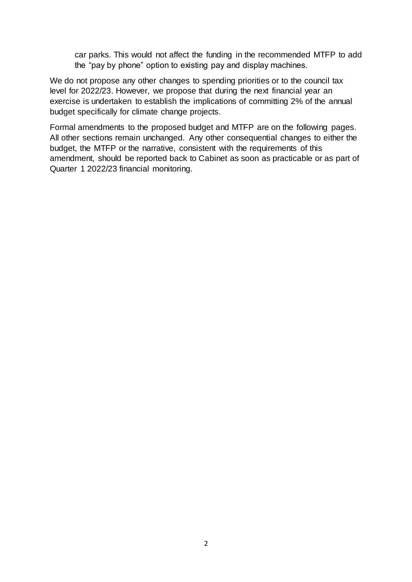car parks. This would not affect the funding in the recommended MTFP to add the "pay by phone" option to existing pay and display machines.

We do not propose any other changes to spending priorities or to the council tax level for 2022/23. However, we propose that during the next financial year an exercise is undertaken to establish the implications of committing 2% of the annual budget specifically for climate change projects.

Formal amendments to the proposed budget and MTFP are on the following pages. All other sections remain unchanged. Any other consequential changes to either the budget, the MTFP or the narrative, consistent with the requirements of this amendment, should be reported back to Cabinet as soon as practicable or as part of Quarter 1 2022/23 financial monitoring.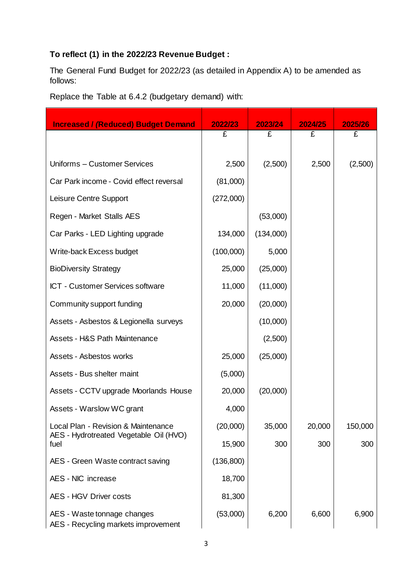# **To reflect (1) in the 2022/23 Revenue Budget :**

The General Fund Budget for 2022/23 (as detailed in Appendix A) to be amended as follows:

Replace the Table at 6.4.2 (budgetary demand) with:

| <b>Increased / (Reduced) Budget Demand</b>                                    | 2022/23   | 2023/24   | 2024/25 | 2025/26 |
|-------------------------------------------------------------------------------|-----------|-----------|---------|---------|
|                                                                               | £         | £         | £       | £       |
| Uniforms - Customer Services                                                  | 2,500     | (2,500)   | 2,500   | (2,500) |
| Car Park income - Covid effect reversal                                       | (81,000)  |           |         |         |
| Leisure Centre Support                                                        | (272,000) |           |         |         |
| Regen - Market Stalls AES                                                     |           | (53,000)  |         |         |
| Car Parks - LED Lighting upgrade                                              | 134,000   | (134,000) |         |         |
| Write-back Excess budget                                                      | (100,000) | 5,000     |         |         |
| <b>BioDiversity Strategy</b>                                                  | 25,000    | (25,000)  |         |         |
| ICT - Customer Services software                                              | 11,000    | (11,000)  |         |         |
| Community support funding                                                     | 20,000    | (20,000)  |         |         |
| Assets - Asbestos & Legionella surveys                                        |           | (10,000)  |         |         |
| <b>Assets - H&amp;S Path Maintenance</b>                                      |           | (2,500)   |         |         |
| Assets - Asbestos works                                                       | 25,000    | (25,000)  |         |         |
| Assets - Bus shelter maint                                                    | (5,000)   |           |         |         |
| Assets - CCTV upgrade Moorlands House                                         | 20,000    | (20,000)  |         |         |
| Assets - Warslow WC grant                                                     | 4,000     |           |         |         |
| Local Plan - Revision & Maintenance<br>AES - Hydrotreated Vegetable Oil (HVO) | (20,000)  | 35,000    | 20,000  | 150,000 |
| fuel                                                                          | 15,900    | 300       | 300     | 300     |
| AES - Green Waste contract saving                                             | (136,800) |           |         |         |
| AES - NIC increase                                                            | 18,700    |           |         |         |
| <b>AES - HGV Driver costs</b>                                                 | 81,300    |           |         |         |
| AES - Waste tonnage changes<br>AES - Recycling markets improvement            | (53,000)  | 6,200     | 6,600   | 6,900   |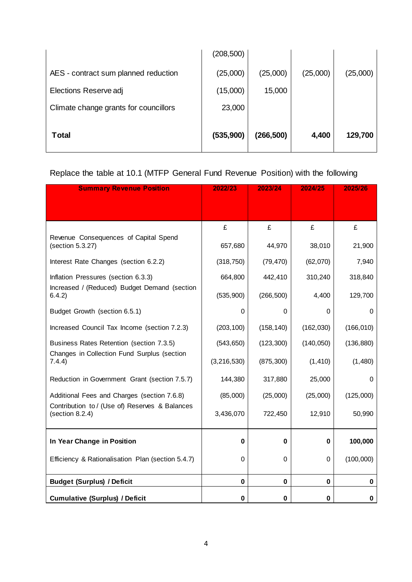| <b>Total</b>                          | (535,900)  | (266, 500) | 4,400    | 129,700  |
|---------------------------------------|------------|------------|----------|----------|
| Climate change grants for councillors | 23,000     |            |          |          |
| Elections Reserve adj                 | (15,000)   | 15,000     |          |          |
| AES - contract sum planned reduction  | (25,000)   | (25,000)   | (25,000) | (25,000) |
|                                       | (208, 500) |            |          |          |

# Replace the table at 10.1 (MTFP General Fund Revenue Position) with the following

| <b>Summary Revenue Position</b>                                   | 2022/23       | 2023/24    | 2024/25    | 2025/26    |
|-------------------------------------------------------------------|---------------|------------|------------|------------|
|                                                                   |               |            |            |            |
|                                                                   | £             | £          | £          | £          |
| Revenue Consequences of Capital Spend<br>(section 5.3.27)         | 657,680       | 44,970     | 38,010     | 21,900     |
| Interest Rate Changes (section 6.2.2)                             | (318, 750)    | (79, 470)  | (62,070)   | 7,940      |
| Inflation Pressures (section 6.3.3)                               | 664,800       | 442,410    | 310,240    | 318,840    |
| Increased / (Reduced) Budget Demand (section<br>6.4.2)            | (535, 900)    | (266, 500) | 4,400      | 129,700    |
| Budget Growth (section 6.5.1)                                     | $\mathbf 0$   | 0          | 0          | $\Omega$   |
| Increased Council Tax Income (section 7.2.3)                      | (203, 100)    | (158, 140) | (162, 030) | (166, 010) |
| Business Rates Retention (section 7.3.5)                          | (543, 650)    | (123, 300) | (140, 050) | (136, 880) |
| Changes in Collection Fund Surplus (section<br>7.4.4)             | (3, 216, 530) | (875, 300) | (1, 410)   | (1,480)    |
| Reduction in Government Grant (section 7.5.7)                     | 144,380       | 317,880    | 25,000     | 0          |
| Additional Fees and Charges (section 7.6.8)                       | (85,000)      | (25,000)   | (25,000)   | (125,000)  |
| Contribution to / (Use of) Reserves & Balances<br>(section 8.2.4) | 3,436,070     | 722,450    | 12,910     | 50,990     |
| In Year Change in Position                                        | 0             | 0          | 0          | 100,000    |
| Efficiency & Rationalisation Plan (section 5.4.7)                 | 0             | 0          | 0          | (100,000)  |
| <b>Budget (Surplus) / Deficit</b>                                 | $\mathbf 0$   | 0          | 0          | 0          |
| <b>Cumulative (Surplus) / Deficit</b>                             | $\mathbf 0$   | 0          | 0          | 0          |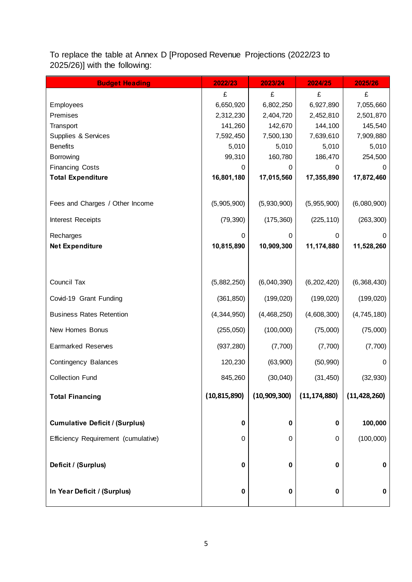| <b>Budget Heading</b>                 | 2022/23        | 2023/24        | 2024/25        | 2025/26        |
|---------------------------------------|----------------|----------------|----------------|----------------|
|                                       | £              | £              | £              | £              |
| Employees                             | 6,650,920      | 6,802,250      | 6,927,890      | 7,055,660      |
| Premises                              | 2,312,230      | 2,404,720      | 2,452,810      | 2,501,870      |
| Transport                             | 141,260        | 142,670        | 144,100        | 145,540        |
| Supplies & Services                   | 7,592,450      | 7,500,130      | 7,639,610      | 7,909,880      |
| <b>Benefits</b>                       | 5,010          | 5,010          | 5,010          | 5,010          |
| Borrowing                             | 99,310         | 160,780        | 186,470        | 254,500        |
| <b>Financing Costs</b>                | 0              | 0              | 0              | 0              |
| <b>Total Expenditure</b>              | 16,801,180     | 17,015,560     | 17,355,890     | 17,872,460     |
|                                       |                |                |                |                |
| Fees and Charges / Other Income       | (5,905,900)    | (5,930,900)    | (5,955,900)    | (6,080,900)    |
| Interest Receipts                     | (79, 390)      | (175, 360)     | (225, 110)     | (263, 300)     |
| Recharges                             | 0              | 0              | 0              | 0              |
| <b>Net Expenditure</b>                | 10,815,890     | 10,909,300     | 11,174,880     | 11,528,260     |
|                                       |                |                |                |                |
|                                       |                |                |                |                |
| Council Tax                           | (5,882,250)    | (6,040,390)    | (6, 202, 420)  | (6,368,430)    |
| Covid-19 Grant Funding                | (361, 850)     | (199, 020)     | (199, 020)     | (199, 020)     |
| <b>Business Rates Retention</b>       | (4,344,950)    | (4,468,250)    | (4,608,300)    | (4,745,180)    |
| New Homes Bonus                       | (255, 050)     | (100,000)      | (75,000)       | (75,000)       |
| <b>Earmarked Reserves</b>             | (937, 280)     | (7,700)        | (7,700)        | (7,700)        |
| Contingency Balances                  | 120,230        | (63,900)       | (50, 990)      | $\mathbf 0$    |
| <b>Collection Fund</b>                | 845,260        | (30,040)       | (31, 450)      | (32, 930)      |
| <b>Total Financing</b>                | (10, 815, 890) | (10, 909, 300) | (11, 174, 880) | (11, 428, 260) |
|                                       |                |                |                |                |
| <b>Cumulative Deficit / (Surplus)</b> | $\pmb{0}$      | 0              | 0              | 100,000        |
| Efficiency Requirement (cumulative)   | 0              | 0              | 0              | (100,000)      |
|                                       |                |                |                |                |
| Deficit / (Surplus)                   | $\pmb{0}$      | 0              | 0              | 0              |
|                                       |                |                |                |                |
| In Year Deficit / (Surplus)           | $\pmb{0}$      | 0              | $\bf{0}$       | 0              |

To replace the table at Annex D [Proposed Revenue Projections (2022/23 to 2025/26)] with the following: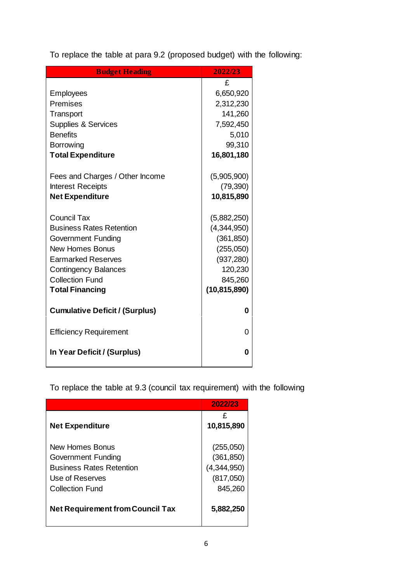To replace the table at para 9.2 (proposed budget) with the following:

| <b>Budget Heading</b>                 | 2022/23        |
|---------------------------------------|----------------|
|                                       | £              |
| <b>Employees</b>                      | 6,650,920      |
| Premises                              | 2,312,230      |
| Transport                             | 141,260        |
| <b>Supplies &amp; Services</b>        | 7,592,450      |
| <b>Benefits</b>                       | 5,010          |
| Borrowing                             | 99,310         |
| <b>Total Expenditure</b>              | 16,801,180     |
| Fees and Charges / Other Income       | (5,905,900)    |
| <b>Interest Receipts</b>              | (79, 390)      |
| <b>Net Expenditure</b>                | 10,815,890     |
|                                       |                |
| <b>Council Tax</b>                    | (5,882,250)    |
| <b>Business Rates Retention</b>       | (4,344,950)    |
| <b>Government Funding</b>             | (361, 850)     |
| <b>New Homes Bonus</b>                | (255,050)      |
| <b>Earmarked Reserves</b>             | (937, 280)     |
| <b>Contingency Balances</b>           | 120,230        |
| <b>Collection Fund</b>                | 845,260        |
| <b>Total Financing</b>                | (10, 815, 890) |
| <b>Cumulative Deficit / (Surplus)</b> | 0              |
| <b>Efficiency Requirement</b>         | 0              |
| In Year Deficit / (Surplus)           | 0              |

To replace the table at 9.3 (council tax requirement) with the following

|                                         | 2022/23         |
|-----------------------------------------|-----------------|
| <b>Net Expenditure</b>                  | £<br>10,815,890 |
| New Homes Bonus                         | (255,050)       |
| <b>Government Funding</b>               | (361, 850)      |
| <b>Business Rates Retention</b>         | (4,344,950)     |
| Use of Reserves                         | (817,050)       |
| Collection Fund                         | 845,260         |
| <b>Net Requirement from Council Tax</b> | 5,882,250       |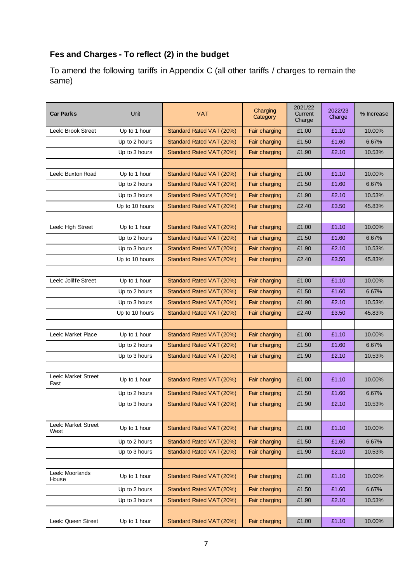# **Fes and Charges - To reflect (2) in the budget**

To amend the following tariffs in Appendix C (all other tariffs / charges to remain the same)

| <b>Car Parks</b>            | Unit           | Charging<br><b>VAT</b><br>Category |               | 2021/22<br>Current<br>Charge | 2022/23<br>Charge | % Increase |
|-----------------------------|----------------|------------------------------------|---------------|------------------------------|-------------------|------------|
| Leek: Brook Street          | Up to 1 hour   | Standard Rated VAT (20%)           | Fair charging | £1.00                        | £1.10             | 10.00%     |
|                             | Up to 2 hours  | Standard Rated VAT (20%)           | Fair charging | £1.50                        | £1.60             | 6.67%      |
|                             | Up to 3 hours  | Standard Rated VAT (20%)           | Fair charging | £1.90                        | £2.10             | 10.53%     |
|                             |                |                                    |               |                              |                   |            |
| Leek: Buxton Road           | Up to 1 hour   | Standard Rated VAT (20%)           | Fair charging | £1.00                        | £1.10             | 10.00%     |
|                             | Up to 2 hours  | Standard Rated VAT (20%)           | Fair charging | £1.50                        | £1.60             | 6.67%      |
|                             | Up to 3 hours  | Standard Rated VAT (20%)           | Fair charging | £1.90                        | £2.10             | 10.53%     |
|                             | Up to 10 hours | Standard Rated VAT (20%)           | Fair charging | £2.40                        | £3.50             | 45.83%     |
|                             |                |                                    |               |                              |                   |            |
| Leek: High Street           | Up to 1 hour   | Standard Rated VAT (20%)           | Fair charging | £1.00                        | £1.10             | 10.00%     |
|                             | Up to 2 hours  | Standard Rated VAT (20%)           | Fair charging | £1.50                        | £1.60             | 6.67%      |
|                             | Up to 3 hours  | Standard Rated VAT (20%)           | Fair charging | £1.90                        | £2.10             | 10.53%     |
|                             | Up to 10 hours | Standard Rated VAT (20%)           | Fair charging | £2.40                        | £3.50             | 45.83%     |
|                             |                |                                    |               |                              |                   |            |
| Leek: Joliffe Street        | Up to 1 hour   | Standard Rated VAT (20%)           | Fair charging | £1.00                        | £1.10             | 10.00%     |
|                             | Up to 2 hours  | Standard Rated VAT (20%)           | Fair charging | £1.50                        | £1.60             | 6.67%      |
|                             | Up to 3 hours  | Standard Rated VAT (20%)           | Fair charging | £1.90                        | £2.10             | 10.53%     |
|                             | Up to 10 hours | Standard Rated VAT (20%)           | Fair charging | £2.40                        | £3.50             | 45.83%     |
|                             |                |                                    |               |                              |                   |            |
| Leek: Market Place          | Up to 1 hour   | Standard Rated VAT (20%)           | Fair charging | £1.00                        | £1.10             | 10.00%     |
|                             | Up to 2 hours  | Standard Rated VAT (20%)           | Fair charging | £1.50                        | £1.60             | 6.67%      |
|                             | Up to 3 hours  | Standard Rated VAT (20%)           | Fair charging | £1.90                        | £2.10             | 10.53%     |
|                             |                |                                    |               |                              |                   |            |
| Leek: Market Street<br>East | Up to 1 hour   | Standard Rated VAT (20%)           | Fair charging | £1.00                        | £1.10             | 10.00%     |
|                             | Up to 2 hours  | Standard Rated VAT (20%)           | Fair charging | £1.50                        | £1.60             | 6.67%      |
|                             | Up to 3 hours  | Standard Rated VAT (20%)           | Fair charging | £1.90                        | £2.10             | 10.53%     |
|                             |                |                                    |               |                              |                   |            |
| Leek: Market Street<br>West | Up to 1 hour   | Standard Rated VAT (20%)           | Fair charging | £1.00                        | £1.10             | 10.00%     |
|                             | Up to 2 hours  | Standard Rated VAT (20%)           | Fair charging | £1.50                        | £1.60             | 6.67%      |
|                             | Up to 3 hours  | Standard Rated VAT (20%)           | Fair charging | £1.90                        | £2.10             | 10.53%     |
|                             |                |                                    |               |                              |                   |            |
| Leek: Moorlands<br>House    | Up to 1 hour   | Standard Rated VAT (20%)           | Fair charging | £1.00                        | £1.10             | 10.00%     |
|                             | Up to 2 hours  | Standard Rated VAT (20%)           | Fair charging | £1.50                        | £1.60             | 6.67%      |
|                             | Up to 3 hours  | Standard Rated VAT (20%)           | Fair charging | £1.90                        | £2.10             | 10.53%     |
|                             |                |                                    |               |                              |                   |            |
| Leek: Queen Street          | Up to 1 hour   | Standard Rated VAT (20%)           | Fair charging | £1.00                        | £1.10             | 10.00%     |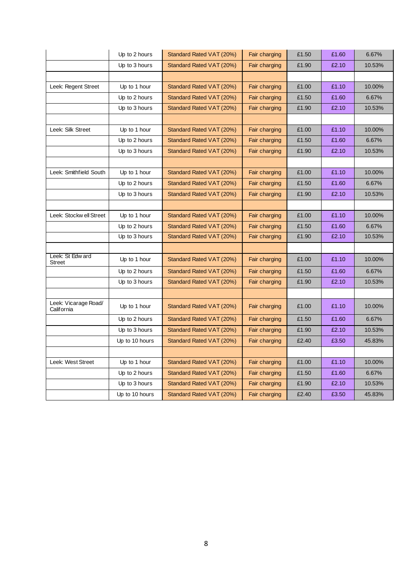|                                    | Up to 2 hours  | Standard Rated VAT (20%) | Fair charging | £1.50 | £1.60 | 6.67%  |
|------------------------------------|----------------|--------------------------|---------------|-------|-------|--------|
|                                    | Up to 3 hours  | Standard Rated VAT (20%) | Fair charging | £1.90 | £2.10 | 10.53% |
|                                    |                |                          |               |       |       |        |
| Leek: Regent Street                | Up to 1 hour   | Standard Rated VAT (20%) | Fair charging | £1.00 | £1.10 | 10.00% |
|                                    | Up to 2 hours  | Standard Rated VAT (20%) | Fair charging | £1.50 | £1.60 | 6.67%  |
|                                    | Up to 3 hours  | Standard Rated VAT (20%) | Fair charging | £1.90 | £2.10 | 10.53% |
|                                    |                |                          |               |       |       |        |
| Leek: Silk Street                  | Up to 1 hour   | Standard Rated VAT (20%) | Fair charging | £1.00 | £1.10 | 10.00% |
|                                    | Up to 2 hours  | Standard Rated VAT (20%) | Fair charging | £1.50 | £1.60 | 6.67%  |
|                                    | Up to 3 hours  | Standard Rated VAT (20%) | Fair charging | £1.90 | £2.10 | 10.53% |
|                                    |                |                          |               |       |       |        |
| Leek: Smithfield South             | Up to 1 hour   | Standard Rated VAT (20%) | Fair charging | £1.00 | £1.10 | 10.00% |
|                                    | Up to 2 hours  | Standard Rated VAT (20%) | Fair charging | £1.50 | £1.60 | 6.67%  |
|                                    | Up to 3 hours  | Standard Rated VAT (20%) | Fair charging | £1.90 | £2.10 | 10.53% |
|                                    |                |                          |               |       |       |        |
| Leek: Stockw ell Street            | Up to 1 hour   | Standard Rated VAT (20%) | Fair charging | £1.00 | £1.10 | 10.00% |
|                                    | Up to 2 hours  | Standard Rated VAT (20%) | Fair charging | £1.50 | £1.60 | 6.67%  |
|                                    | Up to 3 hours  | Standard Rated VAT (20%) | Fair charging | £1.90 | £2.10 | 10.53% |
|                                    |                |                          |               |       |       |        |
| Leek: St Edw ard<br><b>Street</b>  | Up to 1 hour   | Standard Rated VAT (20%) | Fair charging | £1.00 | £1.10 | 10.00% |
|                                    | Up to 2 hours  | Standard Rated VAT (20%) | Fair charging | £1.50 | £1.60 | 6.67%  |
|                                    | Up to 3 hours  | Standard Rated VAT (20%) | Fair charging | £1.90 | £2.10 | 10.53% |
|                                    |                |                          |               |       |       |        |
| Leek: Vicarage Road/<br>California | Up to 1 hour   | Standard Rated VAT (20%) | Fair charging | £1.00 | £1.10 | 10.00% |
|                                    | Up to 2 hours  | Standard Rated VAT (20%) | Fair charging | £1.50 | £1.60 | 6.67%  |
|                                    | Up to 3 hours  | Standard Rated VAT (20%) | Fair charging | £1.90 | £2.10 | 10.53% |
|                                    | Up to 10 hours | Standard Rated VAT (20%) | Fair charging | £2.40 | £3.50 | 45.83% |
|                                    |                |                          |               |       |       |        |
| Leek: West Street                  | Up to 1 hour   | Standard Rated VAT (20%) | Fair charging | £1.00 | £1.10 | 10.00% |
|                                    | Up to 2 hours  | Standard Rated VAT (20%) | Fair charging | £1.50 | £1.60 | 6.67%  |
|                                    | Up to 3 hours  | Standard Rated VAT (20%) | Fair charging | £1.90 | £2.10 | 10.53% |
|                                    | Up to 10 hours | Standard Rated VAT (20%) | Fair charging | £2.40 | £3.50 | 45.83% |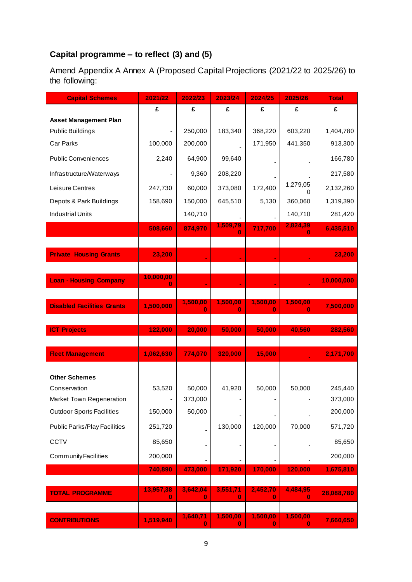# **Capital programme – to reflect (3) and (5)**

Amend Appendix A Annex A (Proposed Capital Projections (2021/22 to 2025/26) to the following:

| <b>Capital Schemes</b>              | 2021/22        | 2022/23       | 2023/24       | 2024/25              | 2025/26       | <b>Total</b> |
|-------------------------------------|----------------|---------------|---------------|----------------------|---------------|--------------|
|                                     | £              | £             | £             | £                    | £             | £            |
| <b>Asset Management Plan</b>        |                |               |               |                      |               |              |
| Public Buildings                    |                | 250,000       | 183,340       | 368,220              | 603,220       | 1,404,780    |
| Car Parks                           | 100,000        | 200,000       |               | 171,950              | 441,350       | 913,300      |
| <b>Public Conveniences</b>          | 2,240          | 64,900        | 99,640        |                      |               | 166,780      |
| Infrastructure/Waterways            |                | 9,360         | 208,220       |                      |               | 217,580      |
| Leisure Centres                     | 247,730        | 60,000        | 373,080       | 172,400              | 1,279,05<br>O | 2,132,260    |
| Depots & Park Buildings             | 158,690        | 150,000       | 645,510       | 5,130                | 360,060       | 1,319,390    |
| <b>Industrial Units</b>             |                | 140,710       |               |                      | 140,710       | 281,420      |
|                                     | 508,660        | 874,970       | 1,509,79<br>Ω | 717,700              | 2,824,39<br>n | 6,435,510    |
|                                     |                |               |               |                      |               |              |
| <b>Private Housing Grants</b>       | 23,200         |               |               |                      |               | 23,200       |
|                                     |                |               |               |                      |               |              |
| <b>Loan - Housing Company</b>       | 10,000,00<br>O |               |               |                      |               | 10,000,000   |
|                                     |                |               |               |                      |               |              |
| <b>Disabled Facilities Grants</b>   | 1,500,000      | 1,500,00<br>0 | 1,500,00<br>0 | 1,500,00<br>0        | 1,500,00<br>0 | 7,500,000    |
|                                     |                |               |               |                      |               |              |
| <b>ICT Projects</b>                 | 122,000        | 20,000        | 50,000        | 50,000               | 40,560        | 282,560      |
| <b>Fleet Management</b>             | 1,062,630      | 774,070       | 320,000       | 15,000               |               | 2,171,700    |
|                                     |                |               |               |                      |               |              |
| <b>Other Schemes</b>                |                |               |               |                      |               |              |
| Conservation                        | 53,520         | 50,000        | 41,920        | 50,000               | 50,000        | 245,440      |
| Market Town Regeneration            |                | 373,000       |               |                      |               | 373,000      |
| <b>Outdoor Sports Facilities</b>    | 150,000        | 50,000        |               |                      |               | 200,000      |
| <b>Public Parks/Play Facilities</b> | 251,720        | ÷,            | 130,000       | 120,000              | 70,000        | 571,720      |
| CCTV                                | 85,650         |               |               |                      |               | 85,650       |
| <b>Community Facilities</b>         | 200,000        |               |               |                      |               | 200,000      |
|                                     | 740,890        | 473,000       | 171,920       | 170,000              | 120,000       | 1,675,810    |
|                                     |                |               |               |                      |               |              |
| <b>TOTAL PROGRAMME</b>              | 13,957,38<br>0 | 3,642,04<br>0 | 3,551,71<br>0 | 2,452,70<br>0        | 4,484,95<br>0 | 28,088,780   |
|                                     |                |               |               |                      |               |              |
| <b>CONTRIBUTIONS</b>                | 1,519,940      | 1,640,71<br>0 | 1,500,00<br>0 | 1,500,00<br>$\bf{0}$ | 1,500,00<br>n | 7,660,650    |